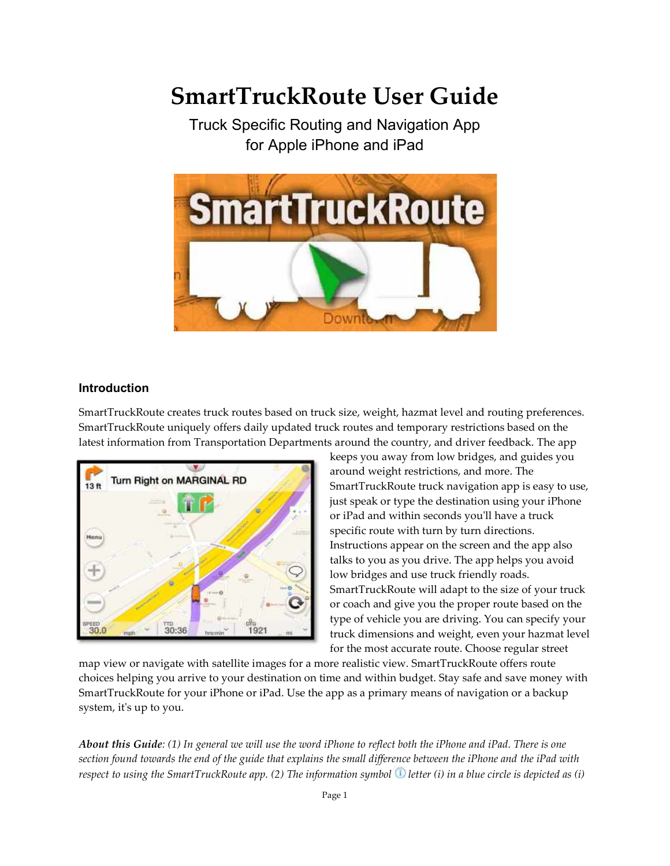# SmartTruckRoute User Guide

Truck Specific Routing and Navigation App for Apple iPhone and iPad



## Introduction

SmartTruckRoute creates truck routes based on truck size, weight, hazmat level and routing preferences. SmartTruckRoute uniquely offers daily updated truck routes and temporary restrictions based on the latest information from Transportation Departments around the country, and driver feedback. The app truck size, weight, hazmat level and routing pr<br>l truck routes and temporary restrictions based<br>lents around the country, and driver feedback.



keeps you away from low bridges, and guides you<br>around weight restrictions, and more. The around weight restrictions, and more. SmartTruckRoute truck navigation app is easy to use, just speak or type the destination using your iPhone or iPad and within seconds you'll have a truck specific route with turn by turn directions. Instructions appear on the screen and the app also talks to you as you drive. The app helps you avoid low bridges and use truck friendly roads. SmartTruckRoute will adapt to the size of your truck or coach and give you the proper route based on the type of vehicle you are driving. You can specify your truck dimensions and weight, even your hazmat level for the most accurate route. Choose regular street SmartTruckRoute truck navigation app is easy to use,<br>just speak or type the destination using your iPhone<br>or iPad and within seconds you'll have a truck<br>specific route with turn by turn directions. Instructions appear on the screen and the app also<br>talks to you as you drive. The app helps you avoid<br>low bridges and use truck friendly roads.<br>SmartTruckRoute will adapt to the size of your truck<br>or coach and give you the

map view or navigate with satellite images for a more realistic view. SmartTruckRoute offers route choices helping you arrive to your destination on time and within budget. Stay safe and save money with SmartTruckRoute for your iPhone or iPad. Use the app as a primary means of navi system, it's up to you. for the most accurate route. Choose regular street<br>vigate with satellite images for a more realistic view. SmartTruckRoute offers route<br>you arrive to your destination on time and within budget. Stay safe and save money w<br>t

About this Guide: (1) In general we will use the word iPhone to reflect both the iPhone and iPad. There is one section found towards the end of the guide that explains the small difference between the iPhone and the iPad with About this Guide: (1) In general we will use the word iPhone to reflect both the iPhone and iPad. There is one<br>section found towards the end of the guide that explains the small difference between the iPhone and the iPad w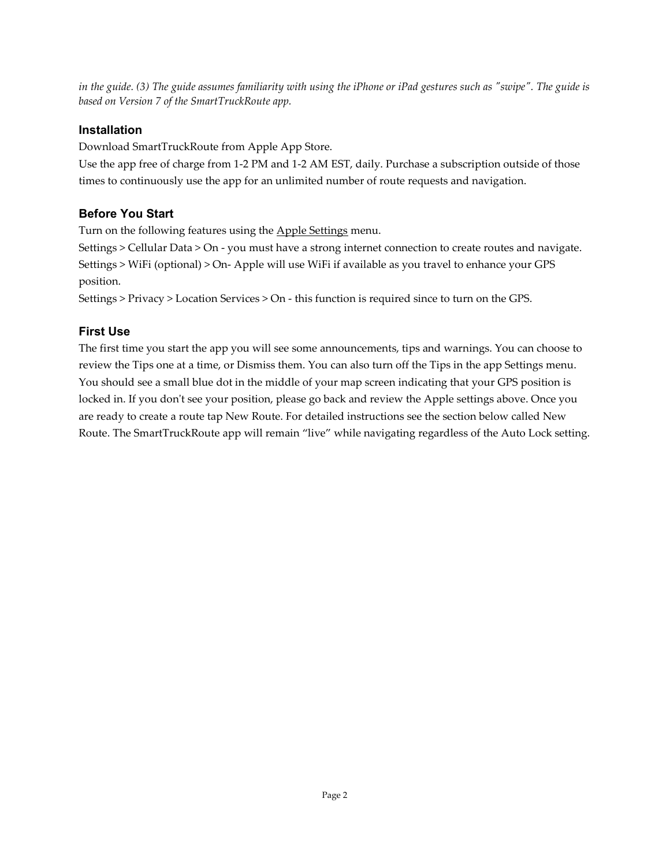in the guide. (3) The guide assumes familiarity with using the iPhone or iPad gestures such as "swipe". The guide is based on Version 7 of the SmartTruckRoute app.

# Installation

Download SmartTruckRoute from Apple App Store.

Use the app free of charge from 1-2 PM and 1-2 AM EST, daily. Purchase a subscription outside of those times to continuously use the app for an unlimited number of route requests and navigation.

# Before You Start

Turn on the following features using the **Apple Settings** menu.

Settings > Cellular Data > On - you must have a strong internet connection to create routes and navigate. Settings > WiFi (optional) > On- Apple will use WiFi if available as you travel to enhance your GPS position.

Settings > Privacy > Location Services > On - this function is required since to turn on the GPS.

# First Use

The first time you start the app you will see some announcements, tips and warnings. You can choose to review the Tips one at a time, or Dismiss them. You can also turn off the Tips in the app Settings menu. You should see a small blue dot in the middle of your map screen indicating that your GPS position is locked in. If you don't see your position, please go back and review the Apple settings above. Once you are ready to create a route tap New Route. For detailed instructions see the section below called New Route. The SmartTruckRoute app will remain "live" while navigating regardless of the Auto Lock setting.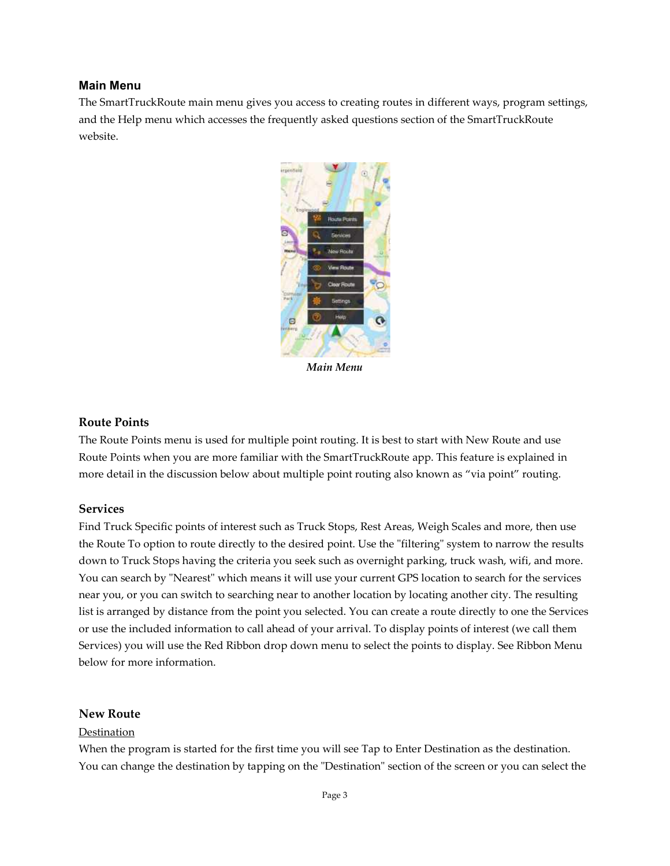#### Main Menu

The SmartTruckRoute main menu gives you access to creating routes in different ways, program settings, and the Help menu which accesses the frequently asked questions section of the SmartTruckRoute website.



Main Menu

### Route Points

The Route Points menu is used for multiple point routing. It is best to start with New Route and use Route Points when you are more familiar with the SmartTruckRoute app. This feature is explained in more detail in the discussion below about multiple point routing also known as "via point" routing.

#### Services

Find Truck Specific points of interest such as Truck Stops, Rest Areas, Weigh Scales and more, then use the Route To option to route directly to the desired point. Use the "filtering" system to narrow the results down to Truck Stops having the criteria you seek such as overnight parking, truck wash, wifi, and more. You can search by "Nearest" which means it will use your current GPS location to search for the services near you, or you can switch to searching near to another location by locating another city. The resulting list is arranged by distance from the point you selected. You can create a route directly to one the Services or use the included information to call ahead of your arrival. To display points of interest (we call them Services) you will use the Red Ribbon drop down menu to select the points to display. See Ribbon Menu below for more information.

#### New Route

#### Destination

When the program is started for the first time you will see Tap to Enter Destination as the destination. You can change the destination by tapping on the "Destination" section of the screen or you can select the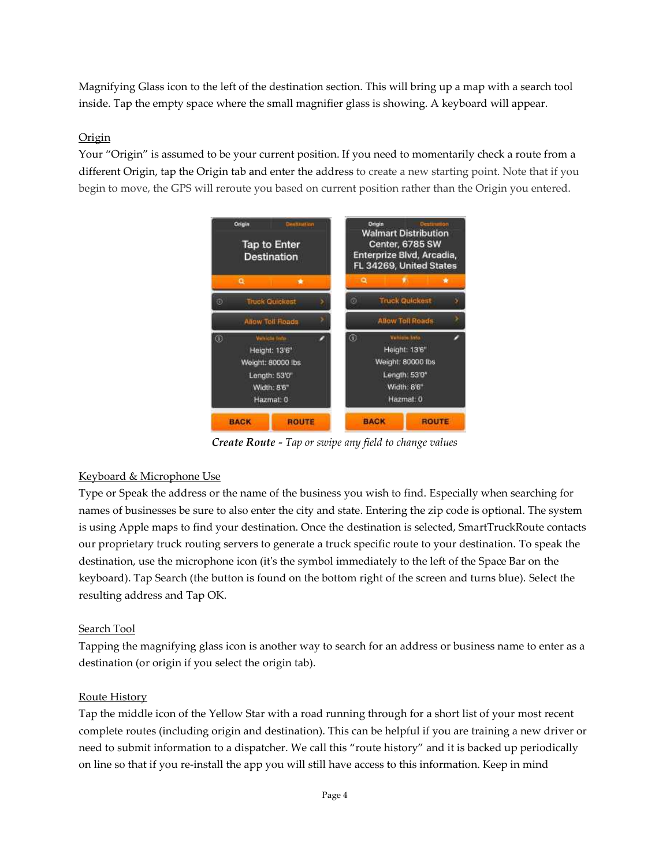Magnifying Glass icon to the left of the destination section. This will bring up a map with a search tool Magnifying Glass icon to the left of the destination section. This will bring up a map with a search<br>inside. Tap the empty space where the small magnifier glass is showing. A keyboard will appear.

# **Origin**

Your "Origin" is assumed to be your current position. If you need to momentarily check a route from a different Origin, tap the Origin tab and enter the address to create a new starting point. Note that if you begin to move, the GPS will reroute you based on current position rather than the Origin you entered.



Create Route Route - Tap or swipe any field to change values

# Keyboard & Microphone Use

Type or Speak the address or the name of the business you wish to find. Especially when searching for names of businesses be sure to also enter the city and state. Entering the zip code is optional. The system names of businesses be sure to also enter the city and state. Entering the zip code is optional. The system<br>is using Apple maps to find your destination. Once the destination is selected, SmartTruckRoute contacts our proprietary truck routing servers to generate a truck specific route to your destination. our proprietary truck routing servers to generate a truck specific route to your destination. To speak<br>destination, use the microphone icon (it's the symbol immediately to the left of the Space Bar on the keyboard). Tap Search (the button is found on the bottom right of the screen and turns blue). Select the resulting address and Tap OK. Especially when searching for<br>zip code is optional. The system<br>ected, SmartTruckRoute contacts<br>o your destination. To speak the

## Search Tool

Tapping the magnifying glass icon is another way to search for an address or business name to enter as a destination (or origin if you select the origin tab). Search (the button is found on the bottom right of the screen and turns<br>ss and Tap OK.<br>agnifying glass icon is another way to search for an address or business<br>origin if you select the origin tab).

## Route History

Tap the middle icon of the Yellow Star with a road running through for a short list of your most recent complete routes (including origin and destination). This can be helpful if you are training a new driver or complete routes (including origin and destination). This can be helpful if you are training a new driver o<br>need to submit information to a dispatcher. We call this "route history" and it is backed up periodically on line so that if you re-install the app you will still have access to this information. Keep in mind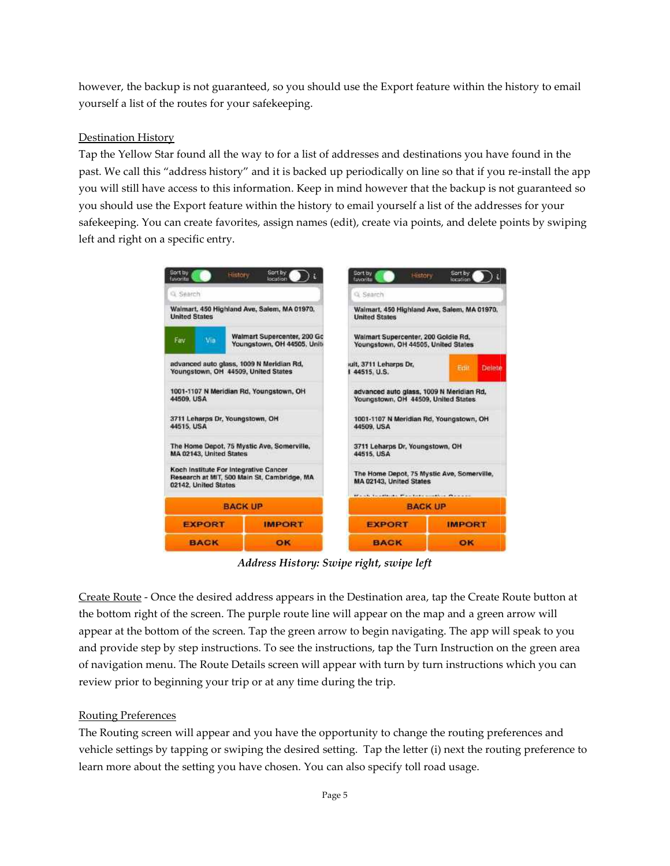however, the backup is not guaranteed, so you should use the Export feature within the history to email yourself a list of the routes for your safekeeping.

## Destination History

Tap the Yellow Star found all the way to for a list of addresses and destinations you have found in the Tap the Yellow Star found all the way to for a list of addresses and destinations you have found in the<br>past. We call this "address history" and it is backed up periodically on line so that if you re-install the app past. We call this "address history" and it is backed up periodically on line so that if you re-install the app<br>you will still have access to this information. Keep in mind however that the backup is not guaranteed so you should use the Export feature within the history to email yourself a list of the addresses for your you will still have access to this information. Keep in mind however that the backup is not guaranteed so<br>you should use the Export feature within the history to email yourself a list of the addresses for your<br>safekeeping. left and right on a specific entry.



Address History: S Swipe right, swipe left

Create Route - Once the desired address appears in the Destination area, tap the Create Route button at the bottom right of the screen. The purple route line will appear on the map and a green arrow will appear at the bottom of the screen. Tap the green arrow to begin navigating. The app will speak to you and provide step by step instructions. To see the instructions, tap the Turn Instruction on the of navigation menu. The Route Details screen will appear with turn by turn instructions which you can review prior to beginning your trip or at any time during the trip. bottom of the screen. Tap the green arrow to begin navigating. The app will speak<br>tep by step instructions. To see the instructions, tap the Turn Instruction on the gi<br>menu. The Route Details screen will appear with turn b will appear on the map and a green arrow will<br>ow to begin navigating. The app will speak to you<br>ructions, tap the Turn Instruction on the green area

# Routing Preferences

The Routing screen will appear and you have the opportunity to change the routing preferences and vehicle settings by tapping or swiping the desired setting. Tap the letter (i) next the routing preference to<br>learn more about the setting you have chosen. You can also specify toll road usage. learn more about the setting you have chosen. You can also specify toll road usage.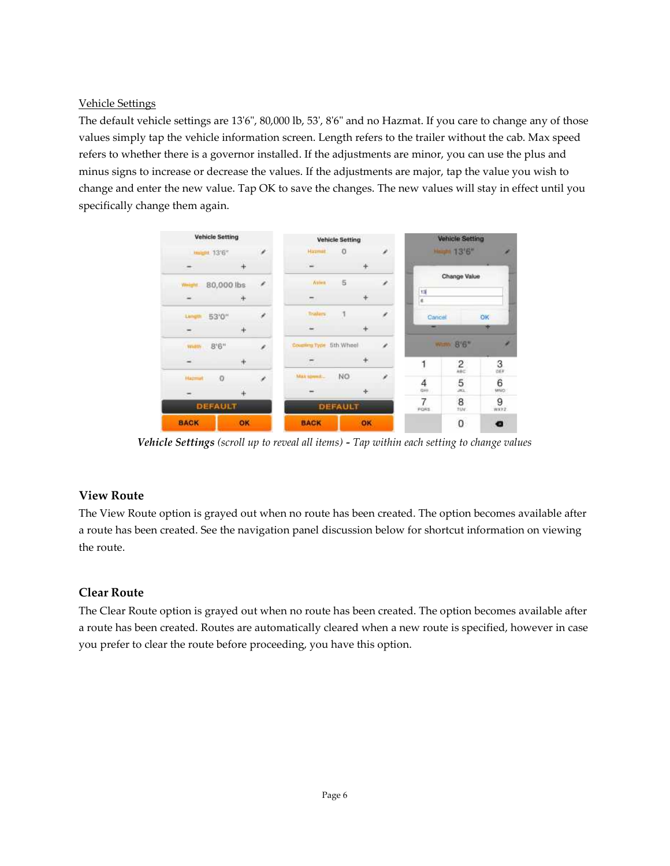### Vehicle Settings

The default vehicle settings are 13'6", 80,000 lb, 53', 8'6" and no Hazmat. If you care to change any of those values simply tap the vehicle information screen. Length refers to the trailer without the cab. Max speed refers to whether there is a governor installed. If the adjustments are minor, you can use the plus and minus signs to increase or decrease the values. If the adjustments are major, tap the value you wish to change and enter the new value. Tap OK to save the changes. The new values will stay in effect until you specifically change them again.



Vehicle Settings (scroll up to reveal all items) - Tap within each setting to change values

## View Route

The View Route option is grayed out when no route has been created. The option becomes available after a route has been created. See the navigation panel discussion below for shortcut information on viewing the route.

## Clear Route

The Clear Route option is grayed out when no route has been created. The option becomes available after a route has been created. Routes are automatically cleared when a new route is specified, however in case you prefer to clear the route before proceeding, you have this option.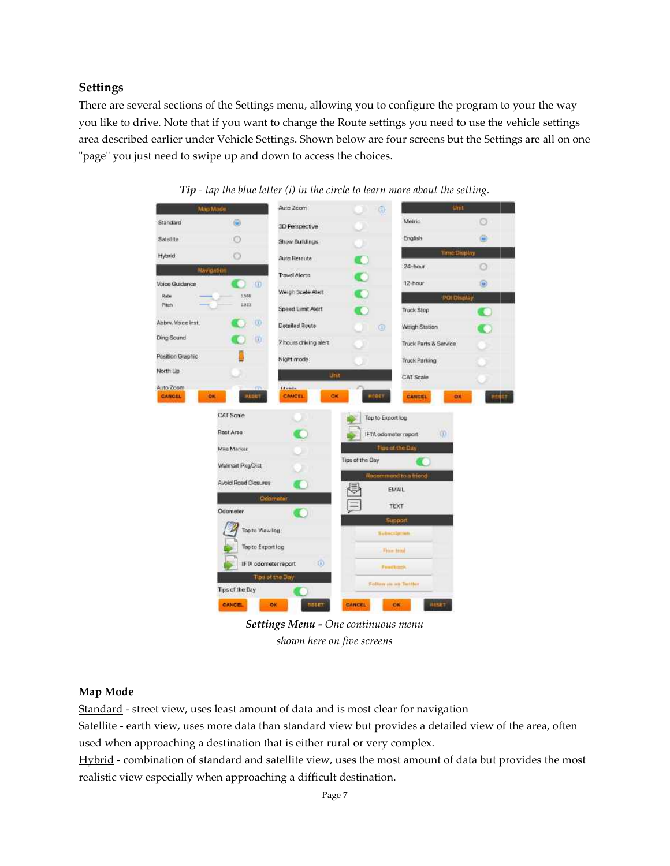#### Settings

There are several sections of the Settings menu, allowing you to configure the program to your the way you like to drive. Note that if you want to change the Route settings you need to use the vehicle settings There are several sections of the Settings menu, allowing you to configure the program to your the way<br>you like to drive. Note that if you want to change the Route settings you need to use the vehicle settings<br>area describ "page" you just need to swipe up and down to access the choices.



**Tip** - tap the blue letter (i) in the circle to learn more about the setting.

Setti Settings Menu - One continuous menu shown here on five screens

#### Map Mode

Standard - street view, uses least amount of data and is most clear for navigation

Satellite - earth view, uses more data than standard view but provides a detailed view of the area, often used when approaching a destination that is either rural or very complex.

Hybrid - combination of standard and satellite view, uses the most amount of data but provides the most realistic view especially when approaching a difficult destination.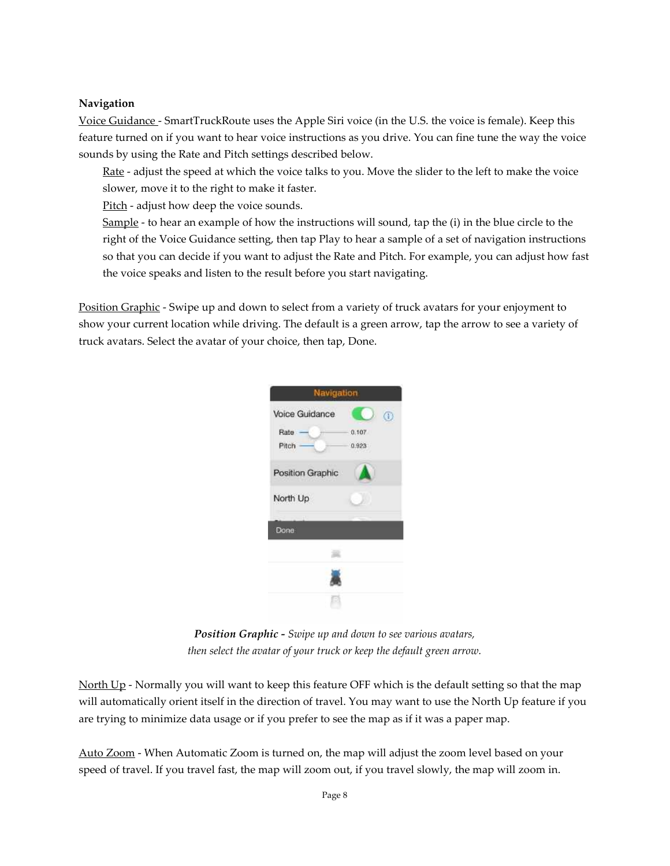#### Navigation

Voice Guidance - SmartTruckRoute uses the Apple Siri voice (in the U.S. the voice is female). Keep this feature turned on if you want to hear voice instructions as you drive. You can fine tune the way the voice sounds by using the Rate and Pitch settings described below.

Rate - adjust the speed at which the voice talks to you. Move the slider to the left to make the voice slower, move it to the right to make it faster.

Pitch - adjust how deep the voice sounds.

Sample - to hear an example of how the instructions will sound, tap the (i) in the blue circle to the right of the Voice Guidance setting, then tap Play to hear a sample of a set of navigation instructions so that you can decide if you want to adjust the Rate and Pitch. For example, you can adjust how fast the voice speaks and listen to the result before you start navigating.

Position Graphic - Swipe up and down to select from a variety of truck avatars for your enjoyment to show your current location while driving. The default is a green arrow, tap the arrow to see a variety of truck avatars. Select the avatar of your choice, then tap, Done.



Position Graphic - Swipe up and down to see various avatars, then select the avatar of your truck or keep the default green arrow.

North Up - Normally you will want to keep this feature OFF which is the default setting so that the map will automatically orient itself in the direction of travel. You may want to use the North Up feature if you are trying to minimize data usage or if you prefer to see the map as if it was a paper map.

Auto Zoom - When Automatic Zoom is turned on, the map will adjust the zoom level based on your speed of travel. If you travel fast, the map will zoom out, if you travel slowly, the map will zoom in.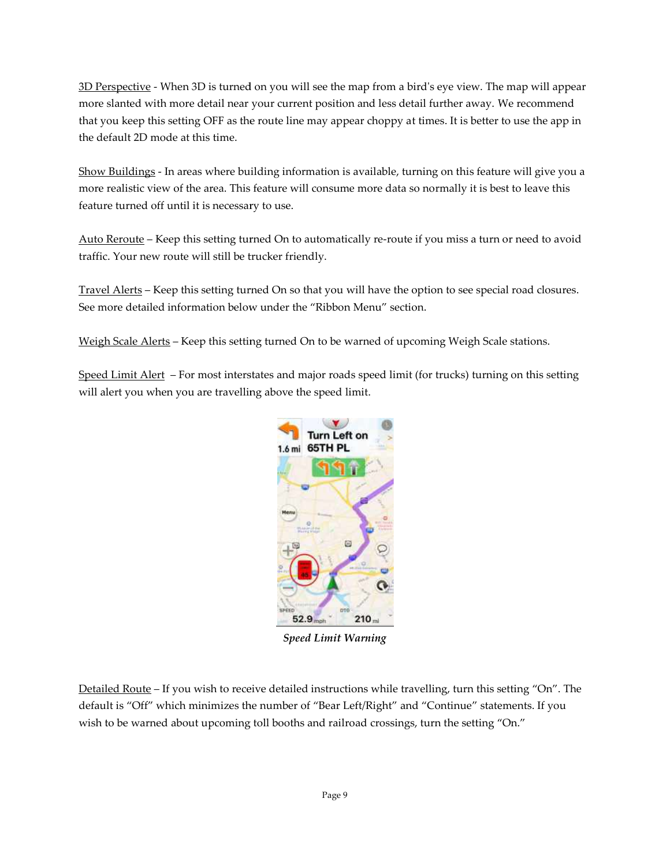$3D$  Perspective - When 3D is turned on you will see the map from a bird's eye view. The map will appear more slanted with more detail near your current position and less detail further away. more slanted We recommend that you keep this setting OFF as the route line may appear choppy at times. It is better to use the app in the default 2D mode at this time. ird's eye view. The map will appe<br>tail further away. We recommend<br>t times. It is better to use the app i<br>rning on this feature will give you<br>so normally it is best to leave this

Show Buildings - In areas where building information is available, turning on this feature will give you a <u>Show Buildings</u> - In areas where building information is available, turning on this feature will give you<br>more realistic view of the area. This feature will consume more data so normally it is best to leave this feature turned off until it is necessary to use.

Auto Reroute – Keep this setting turned On to automatically re-route if you miss a turn or need to avoid traffic. Your new route will still be trucker friendly.

Travel Alerts – Keep this setting turned On so that you will have the option to see special road closures. See more detailed information below under the "Ribbon Menu" section. Travel Alerts – Keep this setting turned On so that you will have the option to see special road clos<br>See more detailed information below under the "Ribbon Menu" section.<br>Weigh Scale Alerts – Keep this setting turned On to tomatically re-route if you miss a turn or need to avoid<br>y.<br>It you will have the option to see special road closures.<br>Ribbon Menu" section.<br>to be warned of upcoming Weigh Scale stations.<br>or roads speed limit (for trucks) t

Speed Limit Alert – For most interstates and major roads speed limit (for trucks) turning on this setting will alert you when you are travelling above the speed limit.



Speed Limit Warning

Detailed Route – If you wish to receive detailed instructions while travelling, turn this setting "On". The default is "Off" which minimizes the number of "Bear Left/Right" and "Continue" statements. If you wish to be warned about upcoming toll booths and railroad crossings, - If you wish to receive detailed instructions while travelling, turn this setting "On". T<br>which minimizes the number of "Bear Left/Right" and "Continue" statements. If you<br>ed about upcoming toll booths and railroad crossi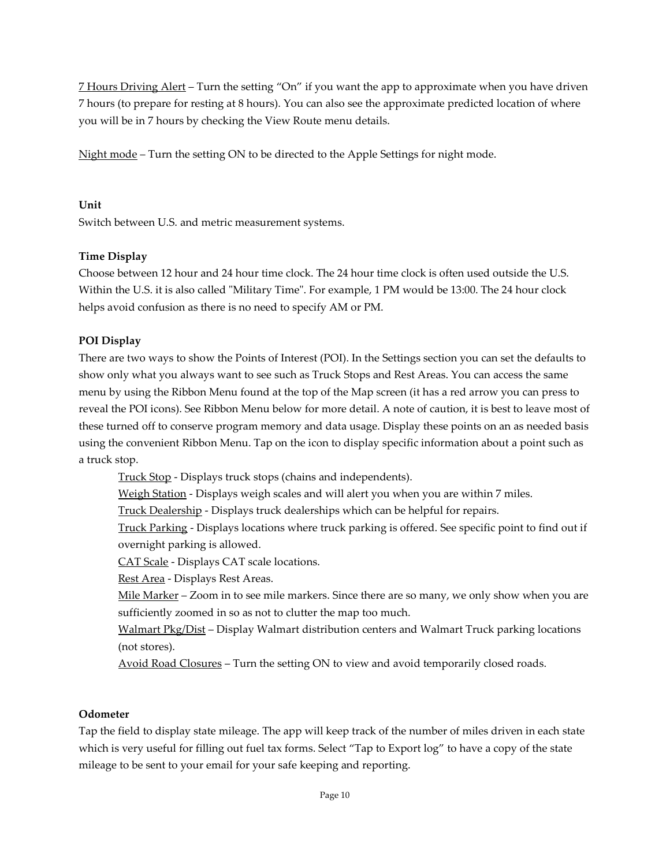7 Hours Driving Alert – Turn the setting "On" if you want the app to approximate when you have driven 7 hours (to prepare for resting at 8 hours). You can also see the approximate predicted location of where you will be in 7 hours by checking the View Route menu details.

Night mode – Turn the setting ON to be directed to the Apple Settings for night mode.

Unit

Switch between U.S. and metric measurement systems.

# Time Display

Choose between 12 hour and 24 hour time clock. The 24 hour time clock is often used outside the U.S. Within the U.S. it is also called "Military Time". For example, 1 PM would be 13:00. The 24 hour clock helps avoid confusion as there is no need to specify AM or PM.

# POI Display

There are two ways to show the Points of Interest (POI). In the Settings section you can set the defaults to show only what you always want to see such as Truck Stops and Rest Areas. You can access the same menu by using the Ribbon Menu found at the top of the Map screen (it has a red arrow you can press to reveal the POI icons). See Ribbon Menu below for more detail. A note of caution, it is best to leave most of these turned off to conserve program memory and data usage. Display these points on an as needed basis using the convenient Ribbon Menu. Tap on the icon to display specific information about a point such as a truck stop.

Truck Stop - Displays truck stops (chains and independents).

Weigh Station - Displays weigh scales and will alert you when you are within 7 miles.

Truck Dealership - Displays truck dealerships which can be helpful for repairs.

 Truck Parking - Displays locations where truck parking is offered. See specific point to find out if overnight parking is allowed.

CAT Scale - Displays CAT scale locations.

Rest Area - Displays Rest Areas.

Mile Marker – Zoom in to see mile markers. Since there are so many, we only show when you are sufficiently zoomed in so as not to clutter the map too much.

Walmart Pkg/Dist – Display Walmart distribution centers and Walmart Truck parking locations (not stores).

Avoid Road Closures – Turn the setting ON to view and avoid temporarily closed roads.

## Odometer

Tap the field to display state mileage. The app will keep track of the number of miles driven in each state which is very useful for filling out fuel tax forms. Select "Tap to Export log" to have a copy of the state mileage to be sent to your email for your safe keeping and reporting.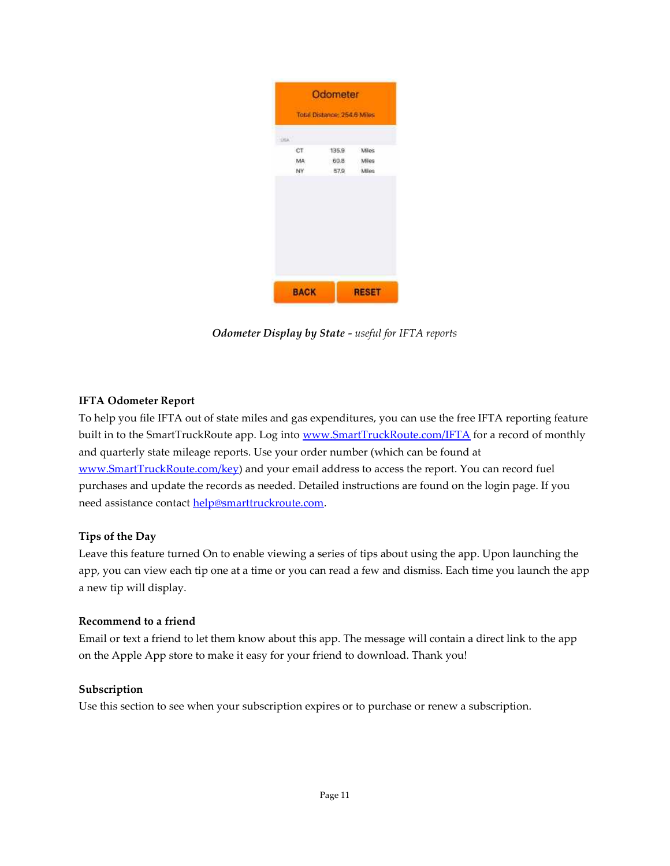| Odometer                    |       |              |
|-----------------------------|-------|--------------|
| Total Distance: 254.6 Miles |       |              |
| <b>DEA</b>                  |       |              |
| <b>CT</b>                   | 135.9 | Miles        |
| MA                          | 60.8  | Miles        |
| NY                          | 57.9  | Mies         |
|                             |       |              |
| <b>BACK</b>                 |       | <b>RESET</b> |

Odometer Display by State - useful for IFTA reports

## IFTA Odometer Report

To help you file IFTA out of state miles and gas expenditures, you can use the free IFTA reporting feature built in to the SmartTruckRoute app. Log into www.SmartTruckRoute.com/IFTA for a record of monthly and quarterly state mileage reports. Use your order number (which can be found at www.SmartTruckRoute.com/key) and your email address to access the report. You can record fuel purchases and update the records as needed. Detailed instructions are found on the login page. If you need assistance contact help@smarttruckroute.com.

## Tips of the Day

Leave this feature turned On to enable viewing a series of tips about using the app. Upon launching the app, you can view each tip one at a time or you can read a few and dismiss. Each time you launch the app a new tip will display.

## Recommend to a friend

Email or text a friend to let them know about this app. The message will contain a direct link to the app on the Apple App store to make it easy for your friend to download. Thank you!

## Subscription

Use this section to see when your subscription expires or to purchase or renew a subscription.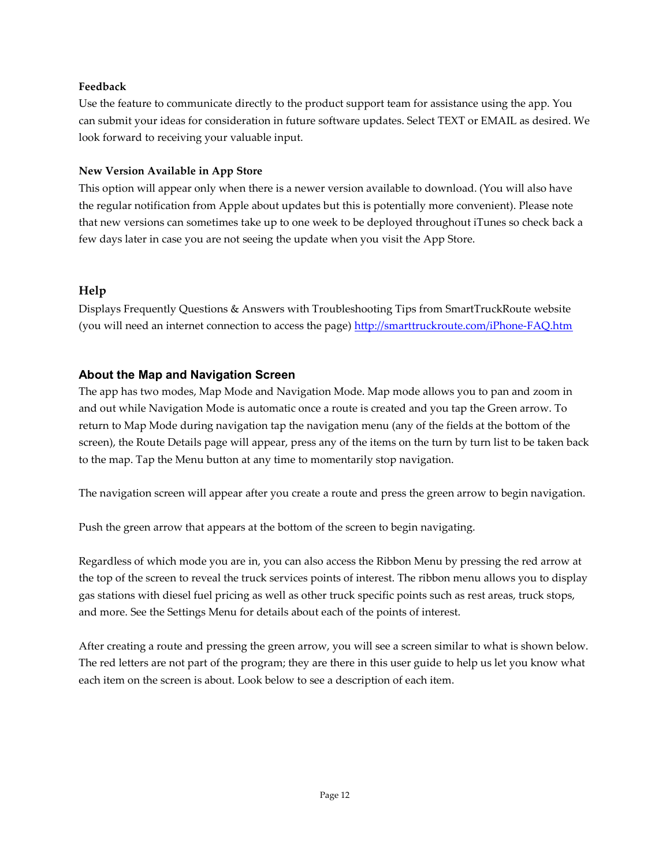#### Feedback

Use the feature to communicate directly to the product support team for assistance using the app. You can submit your ideas for consideration in future software updates. Select TEXT or EMAIL as desired. We look forward to receiving your valuable input.

#### New Version Available in App Store

This option will appear only when there is a newer version available to download. (You will also have the regular notification from Apple about updates but this is potentially more convenient). Please note that new versions can sometimes take up to one week to be deployed throughout iTunes so check back a few days later in case you are not seeing the update when you visit the App Store.

## Help

Displays Frequently Questions & Answers with Troubleshooting Tips from SmartTruckRoute website (you will need an internet connection to access the page) http://smarttruckroute.com/iPhone-FAQ.htm

## About the Map and Navigation Screen

The app has two modes, Map Mode and Navigation Mode. Map mode allows you to pan and zoom in and out while Navigation Mode is automatic once a route is created and you tap the Green arrow. To return to Map Mode during navigation tap the navigation menu (any of the fields at the bottom of the screen), the Route Details page will appear, press any of the items on the turn by turn list to be taken back to the map. Tap the Menu button at any time to momentarily stop navigation.

The navigation screen will appear after you create a route and press the green arrow to begin navigation.

Push the green arrow that appears at the bottom of the screen to begin navigating.

Regardless of which mode you are in, you can also access the Ribbon Menu by pressing the red arrow at the top of the screen to reveal the truck services points of interest. The ribbon menu allows you to display gas stations with diesel fuel pricing as well as other truck specific points such as rest areas, truck stops, and more. See the Settings Menu for details about each of the points of interest.

After creating a route and pressing the green arrow, you will see a screen similar to what is shown below. The red letters are not part of the program; they are there in this user guide to help us let you know what each item on the screen is about. Look below to see a description of each item.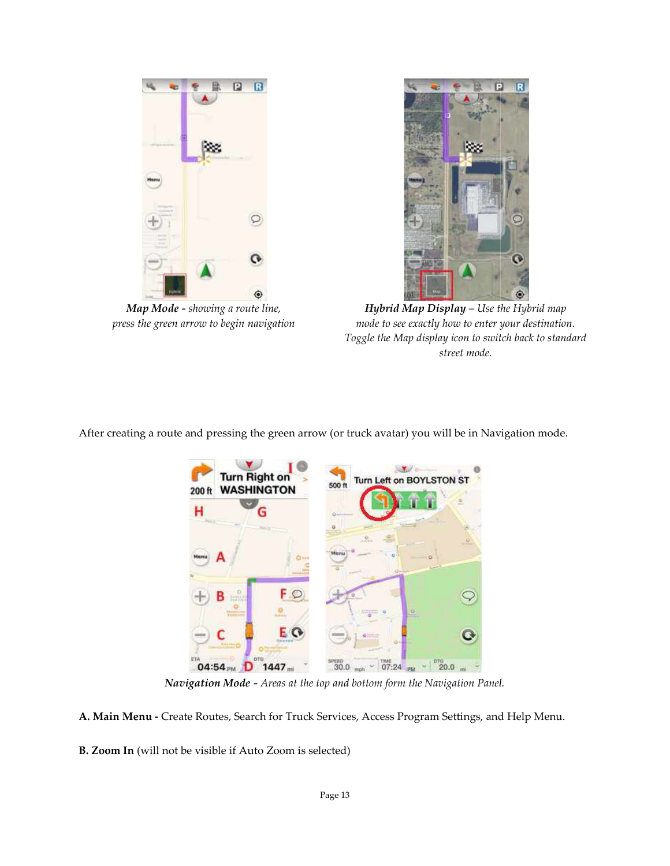

Map Mode - showing a route line, Map Mode - showing a route line,<br>press the green arrow to begin navigation



Hybrid Map Display – Use the Hybrid map **Hybrid Map Display –** Use the Hybrid map<br>mode to see exactly how to enter your destination. Toggle the Map display icon to switch back to standard street mode.

After creating a route and pressing the green arrow (or truck avatar) you will be in Navigation mode.



Navigation Mode - Areas at the top and bottom form the Navigation Panel.

A. Main Menu - Create Routes, Search for Truck Services, Access Program Settings, and Help Menu.

**A. Main Menu -** Create Routes, Search for Truck Service<br>**B. Zoom In** (will not be visible if Auto Zoom is selected)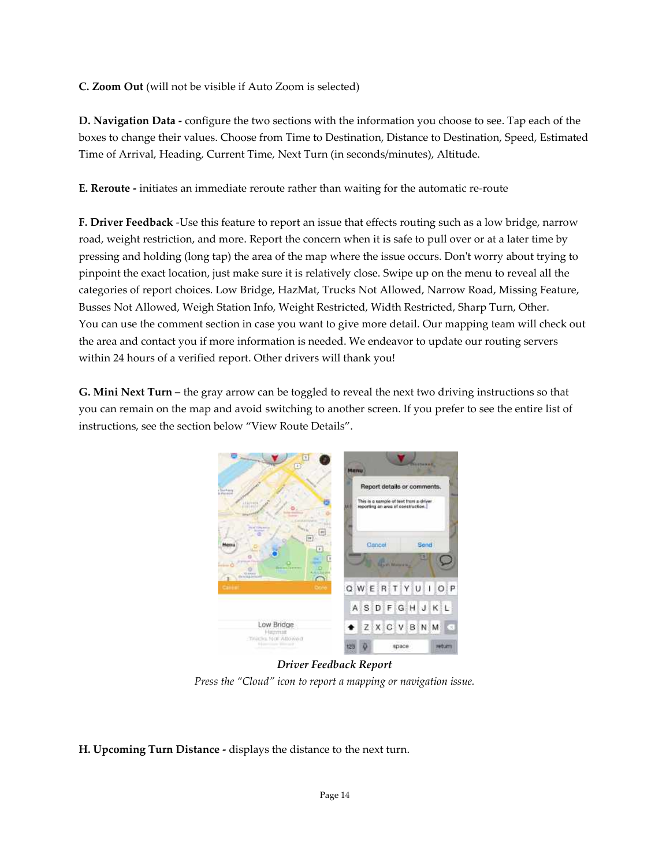C. Zoom Out (will not be visible if Auto Zoom is selected)

D. Navigation Data - configure the two sections with the information you choose to see. Tap each of the boxes to change their values. Choose from Time to Destination, Distance to Destination, Speed, Estimated Time of Arrival, Heading, Current Time, Next Turn (in seconds/minutes), Altitude.

E. Reroute - initiates an immediate reroute rather than waiting for the automatic re-route

F. Driver Feedback -Use this feature to report an issue that effects routing such as a low bridge, narrow road, weight restriction, and more. Report the concern when it is safe to pull over or at a later time by pressing and holding (long tap) the area of the map where the issue occurs. Don't worry about trying to pinpoint the exact location, just make sure it is relatively close. Swipe up on the menu to reveal all the categories of report choices. Low Bridge, HazMat, Trucks Not Allowed, Narrow Road, Missing Feature, Busses Not Allowed, Weigh Station Info, Weight Restricted, Width Restricted, Sharp Turn, Other. You can use the comment section in case you want to give more detail. Our mapping team will check out the area and contact you if more information is needed. We endeavor to update our routing servers within 24 hours of a verified report. Other drivers will thank you!

G. Mini Next Turn – the gray arrow can be toggled to reveal the next two driving instructions so that you can remain on the map and avoid switching to another screen. If you prefer to see the entire list of instructions, see the section below "View Route Details".



Driver Feedback Report Press the "Cloud" icon to report a mapping or navigation issue.

H. Upcoming Turn Distance - displays the distance to the next turn.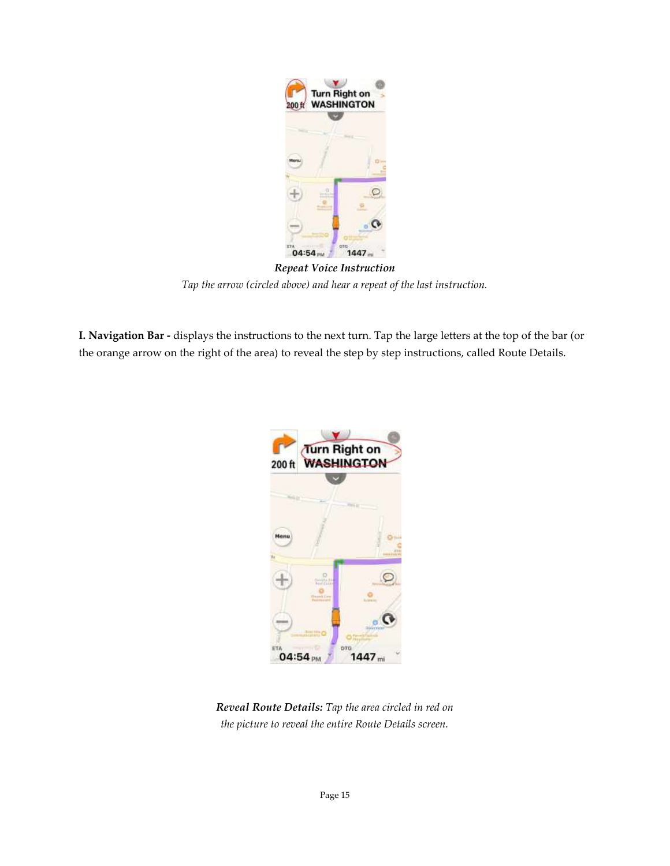

Tap the arrow (circled above) and hear a repeat of the last instruction. Repeat Voice Instruction

**I. Navigation Bar -** displays the instructions to the next turn. Tap the large letters at the top of the the orange arrow on the right of the area) to reveal the step by step instructions, called Route Details.



Reveal Reveal Route Details: Tap the area circled in red on the picture to reveal the entire Route Details screen.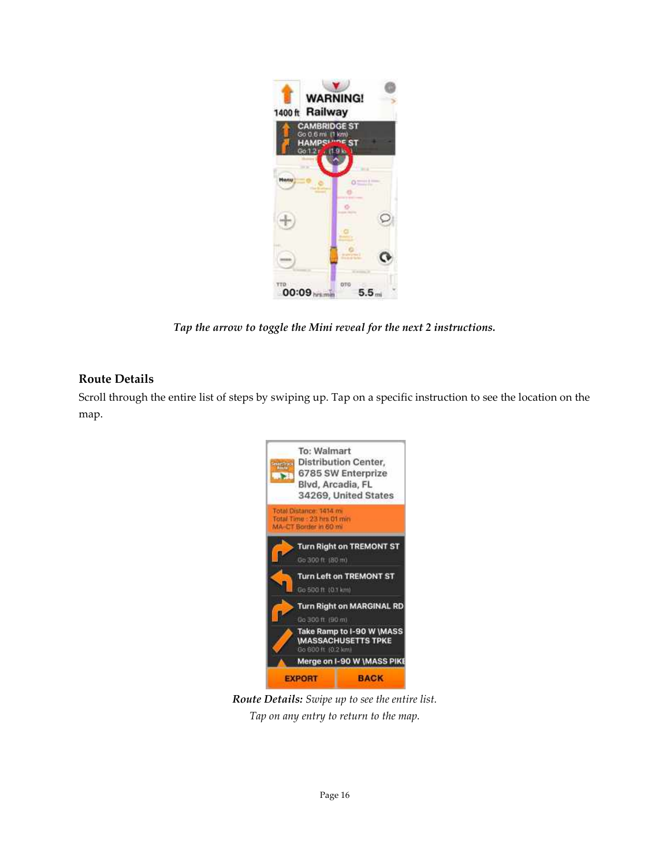

Tap the arrow to toggle the Mini reveal for the next 2 instructions.

# Route Details

Scroll through the entire list of steps by swiping up. Tap on a specific instruction to see the location on the map.



Route Details: Swipe up to see the entire list. Tap on any entry to return to the map.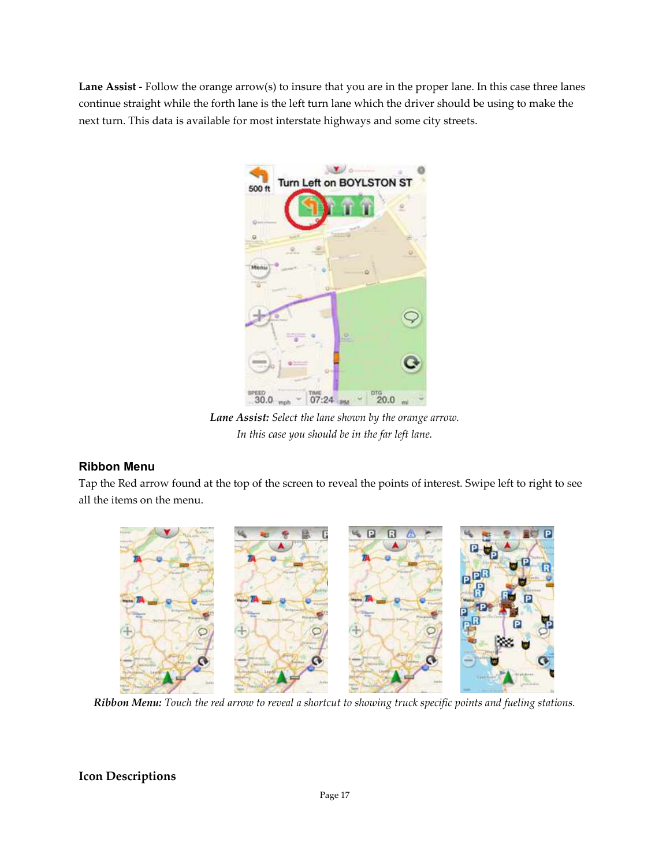Lane Assist - Follow the orange arrow(s) to insure that you are in the proper lane. In this case three lanes continue straight while the forth lane is the left turn lane which the driver should be using to make the next turn. This data is available for most interstate highways and some city streets.



Lane Assist: Select the lane shown by the orange arrow. In this case you should be in the far left lane.

# Ribbon Menu

Tap the Red arrow found at the top of the screen to reveal the points of interest. Swipe left to right to see all the items on the menu.



Ribbon Menu: Touch the red arrow to reveal a shortcut to showing truck specific points and fueling stations.

# Icon Descriptions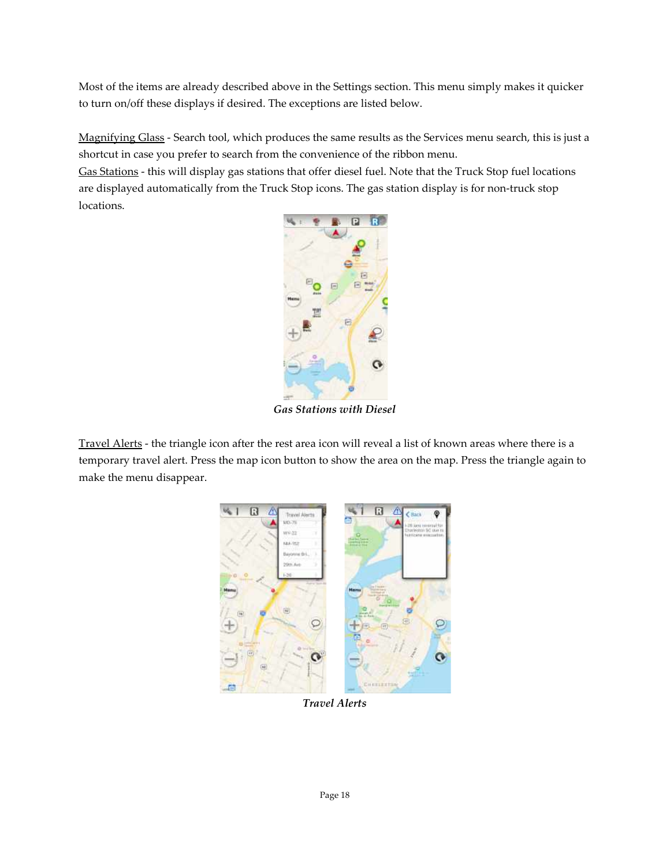Most of the items are already described above in the Settings section. This menu simply makes it quicker to turn on/off these displays if desired. The exceptions are listed below.

Magnifying Glass - Search tool, which produces the same results as the Services menu search, this is just a shortcut in case you prefer to search from the convenience of the ribbon menu.

Gas Stations - this will display gas stations that offer diesel fuel. Note that the Truck Stop fuel locations are displayed automatically from the Truck Stop icons. The gas station display is for non-truck stop locations.



Gas Stations with Diesel

Travel Alerts - the triangle icon after the rest area icon will reveal a list of known areas where there is a temporary travel alert. Press the map icon button to show the area on the map. Press the triangle again to make the menu disappear.



Travel Alerts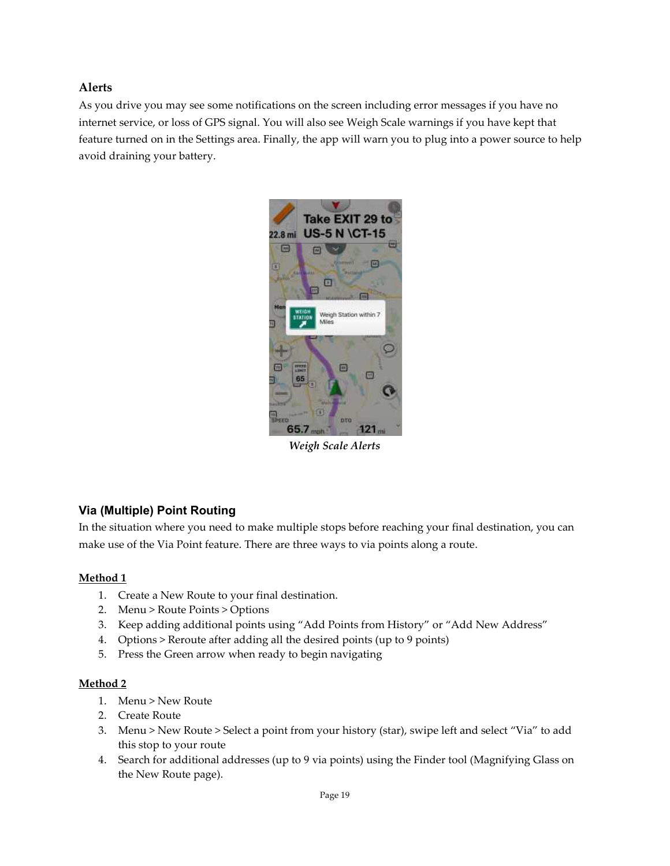# Alerts

As you drive you may see some notifications on the screen including error messages if you have no internet service, or loss of GPS signal. You will also see Weigh Scale warnings if you have kept that feature turned on in the Settings area. Finally, the app will warn you to plug into a power source to help avoid draining your battery.



Weigh Scale Alerts

# Via (Multiple) Point Routing

In the situation where you need to make multiple stops before reaching your final destination, you can make use of the Via Point feature. There are three ways to via points along a route.

## Method 1

- 1. Create a New Route to your final destination.
- 2. Menu > Route Points > Options
- 3. Keep adding additional points using "Add Points from History" or "Add New Address"
- 4. Options > Reroute after adding all the desired points (up to 9 points)
- 5. Press the Green arrow when ready to begin navigating

## Method 2

- 1. Menu > New Route
- 2. Create Route
- 3. Menu > New Route > Select a point from your history (star), swipe left and select "Via" to add this stop to your route
- 4. Search for additional addresses (up to 9 via points) using the Finder tool (Magnifying Glass on the New Route page).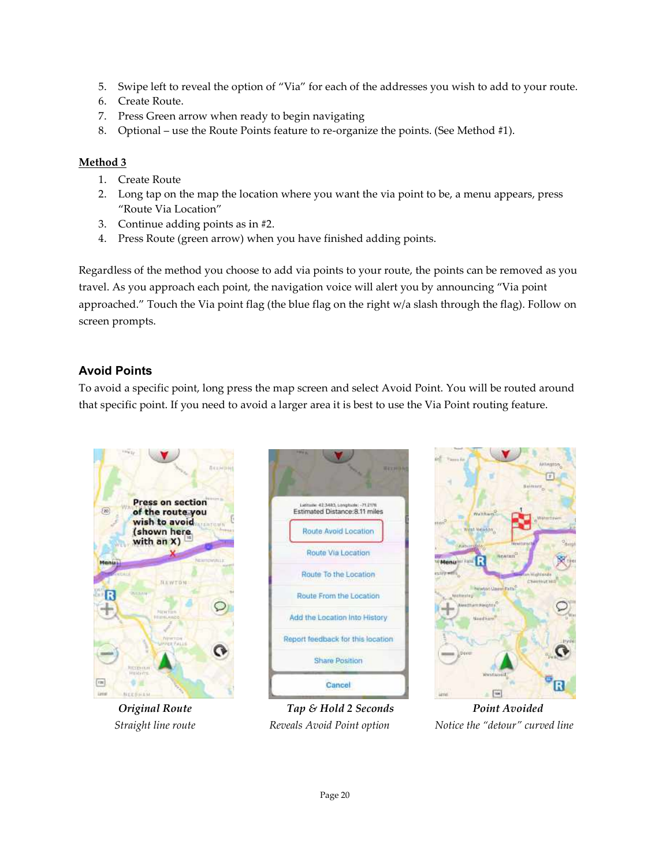- 5. Swipe left to reveal the option of "Via" for each of the addresses you wish to add to your route.
- 6. Create Route.
- 7. Press Green arrow when ready to begin navigating
- 5. Swipe left to reveal the option of "Via" for each of the addresses you wish to add to<br>6. Create Route.<br>7. Press Green arrow when ready to begin navigating<br>8. Optional use the Route Points feature to re-organize the po

#### Method 3

- 1. Create Route
- 2. Long tap on the map the location where you want the via point to be, a menu appears, press "Route Via Location" 2. Long tap on the map the location where you want the via point to be, a menu appears, press "Route Via Location"<br>3. Continue adding points as in #2.<br>4. Press Route (green arrow) when you have finished adding points.<br>Rega
	- 3. Continue adding points as in #2.
	- 4. Press Route (green arrow) when you have finished adding points.

travel. As you approach each point, the navigation voice will alert you by announcing "Via point approached." Touch the Via point flag (the blue flag on the right w/a slash through the flag). Follow on screen prompts. approached." Touch the Via point flag (the blue flag on the right w/a slash through the flag). Follow on<br>screen prompts.<br>**Avoid Points**<br>To avoid a specific point, long press the map screen and select Avoid Point. You will organize the points. (See Method #1).<br>want the via point to be, a menu appears, pre<br>ished adding points.<br>ts to your route, the points can be removed a<br>pice will alert you by announcing "Via point

## Avoid Points

that specific point. If you need to avoid a larger area it is best to use the Via Point routing feature.



Original Route Straight line route





Reveals Avoid Point option **Notice** the "detour" curved line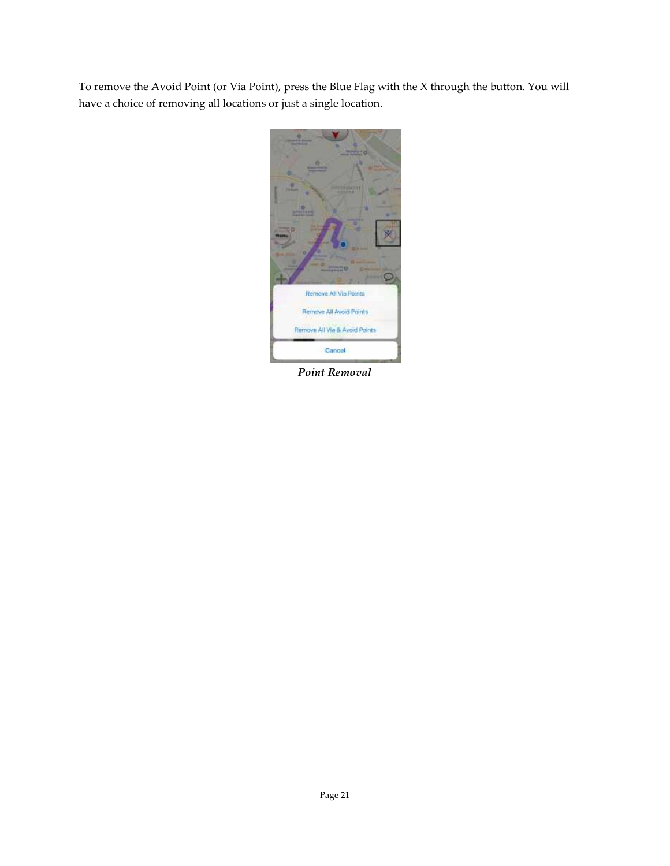To remove the Avoid Point (or Via Point), press the Blue Flag with the X through the button. You will have a choice of removing all locations or just a single location.



Point Removal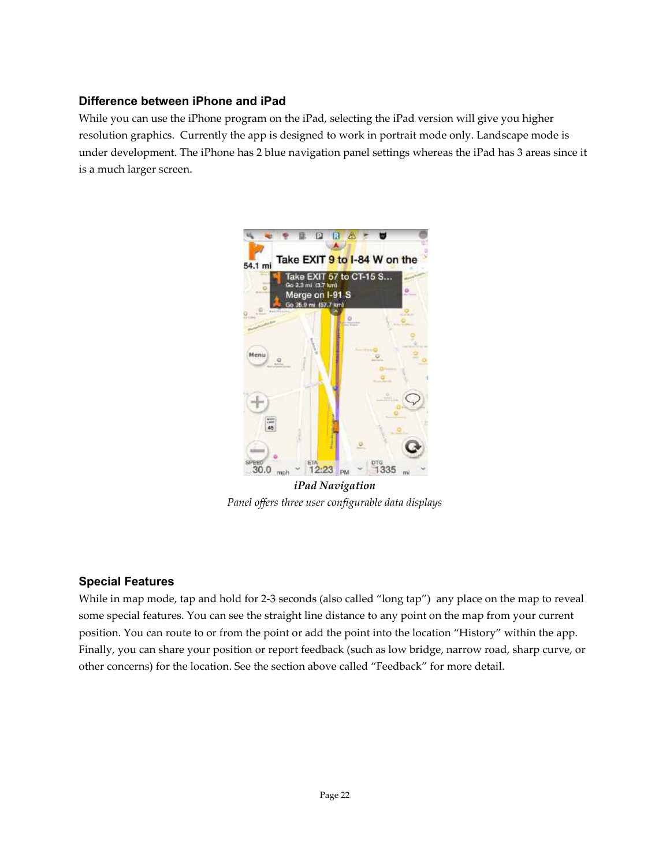# Difference between iPhone and iPad

While you can use the iPhone program on the iPad, selecting the iPad version will give you higher resolution graphics. Currently the app is designed to work in portrait mode only. Landscape mode is under development. The iPhone has 2 blue navigation panel settings whereas the iPad has 3 areas since it is a much larger screen.



iPad Navigation Panel offers three user configurable data displays

# Special Features

While in map mode, tap and hold for 2-3 seconds (also called "long tap") any place on the map to reveal some special features. You can see the straight line distance to any point on the map from your current position. You can route to or from the point or add the point into the location "History" within the app. Finally, you can share your position or report feedback (such as low bridge, narrow road, sharp curve, or other concerns) for the location. See the section above called "Feedback" for more detail.